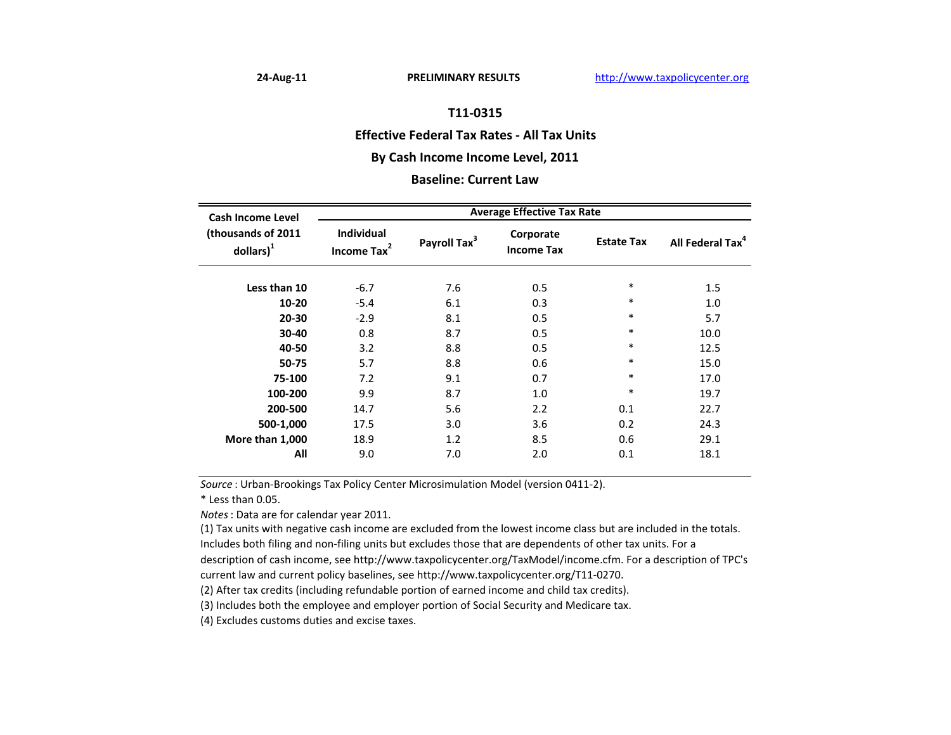#### **Effective Federal Tax Rates ‐ All Tax Units**

## **By Cash Income Income Level, 2011**

#### **Baseline: Current Law**

| <b>Cash Income Level</b><br>(thousands of 2011<br>$\text{dollars}$ <sup>1</sup> | <b>Average Effective Tax Rate</b>            |                          |                                |                   |                              |  |
|---------------------------------------------------------------------------------|----------------------------------------------|--------------------------|--------------------------------|-------------------|------------------------------|--|
|                                                                                 | <b>Individual</b><br>Income Tax <sup>2</sup> | Payroll Tax <sup>3</sup> | Corporate<br><b>Income Tax</b> | <b>Estate Tax</b> | All Federal Tax <sup>4</sup> |  |
| Less than 10                                                                    | $-6.7$                                       | 7.6                      | 0.5                            | ∗                 | 1.5                          |  |
| 10-20                                                                           | $-5.4$                                       | 6.1                      | 0.3                            | ∗                 | 1.0                          |  |
| 20-30                                                                           | $-2.9$                                       | 8.1                      | 0.5                            | $\ast$            | 5.7                          |  |
| 30-40                                                                           | 0.8                                          | 8.7                      | 0.5                            | ∗                 | 10.0                         |  |
| 40-50                                                                           | 3.2                                          | 8.8                      | 0.5                            | ∗                 | 12.5                         |  |
| 50-75                                                                           | 5.7                                          | 8.8                      | 0.6                            | $\ast$            | 15.0                         |  |
| 75-100                                                                          | 7.2                                          | 9.1                      | 0.7                            | $\ast$            | 17.0                         |  |
| 100-200                                                                         | 9.9                                          | 8.7                      | 1.0                            | $\ast$            | 19.7                         |  |
| 200-500                                                                         | 14.7                                         | 5.6                      | 2.2                            | 0.1               | 22.7                         |  |
| 500-1,000                                                                       | 17.5                                         | 3.0                      | 3.6                            | 0.2               | 24.3                         |  |
| More than 1,000                                                                 | 18.9                                         | 1.2                      | 8.5                            | 0.6               | 29.1                         |  |
| All                                                                             | 9.0                                          | 7.0                      | 2.0                            | 0.1               | 18.1                         |  |

*Source* : Urban‐Brookings Tax Policy Center Microsimulation Model (version 0411‐2).

\* Less than 0.05.

*Notes*: Data are for calendar year 2011.

(1) Tax units with negative cash income are excluded from the lowest income class but are included in the totals.

Includes both filing and non‐filing units but excludes those that are dependents of other tax units. For <sup>a</sup>

description of cash income, see http://www.taxpolicycenter.org/TaxModel/income.cfm. For <sup>a</sup> description of TPC's current law and current policy baselines, see http://www.taxpolicycenter.org/T11‐0270.

(2) After tax credits (including refundable portion of earned income and child tax credits).

(3) Includes both the employee and employer portion of Social Security and Medicare tax.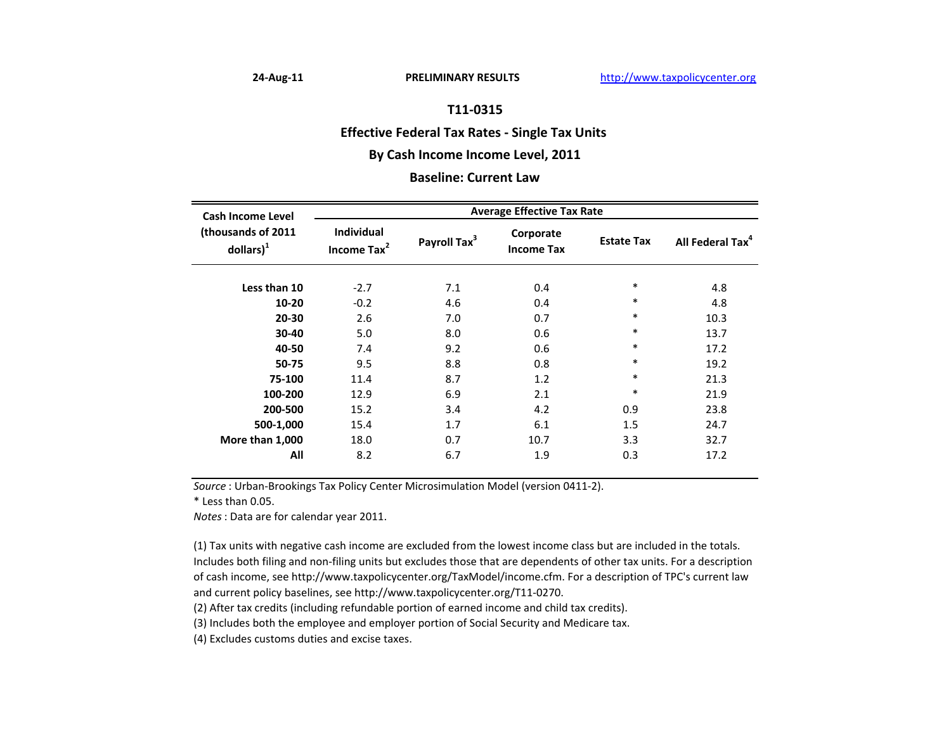### **Effective Federal Tax Rates ‐ Single Tax Units**

# **By Cash Income Income Level, 2011**

#### **Baseline: Current Law**

| <b>Cash Income Level</b><br>(thousands of 2011<br>$\text{dollars}$ <sup>1</sup> | <b>Average Effective Tax Rate</b>            |                          |                                |                   |                              |  |
|---------------------------------------------------------------------------------|----------------------------------------------|--------------------------|--------------------------------|-------------------|------------------------------|--|
|                                                                                 | <b>Individual</b><br>Income Tax <sup>2</sup> | Payroll Tax <sup>3</sup> | Corporate<br><b>Income Tax</b> | <b>Estate Tax</b> | All Federal Tax <sup>4</sup> |  |
| Less than 10                                                                    | $-2.7$                                       | 7.1                      | 0.4                            | $\ast$            | 4.8                          |  |
| 10-20                                                                           | $-0.2$                                       | 4.6                      | 0.4                            | $\ast$            | 4.8                          |  |
| 20-30                                                                           | 2.6                                          | 7.0                      | 0.7                            | $\ast$            | 10.3                         |  |
| 30-40                                                                           | 5.0                                          | 8.0                      | 0.6                            | $\ast$            | 13.7                         |  |
| 40-50                                                                           | 7.4                                          | 9.2                      | 0.6                            | $\ast$            | 17.2                         |  |
| 50-75                                                                           | 9.5                                          | 8.8                      | 0.8                            | $\ast$            | 19.2                         |  |
| 75-100                                                                          | 11.4                                         | 8.7                      | 1.2                            | $\ast$            | 21.3                         |  |
| 100-200                                                                         | 12.9                                         | 6.9                      | 2.1                            | $\ast$            | 21.9                         |  |
| 200-500                                                                         | 15.2                                         | 3.4                      | 4.2                            | 0.9               | 23.8                         |  |
| 500-1,000                                                                       | 15.4                                         | 1.7                      | 6.1                            | 1.5               | 24.7                         |  |
| More than 1,000                                                                 | 18.0                                         | 0.7                      | 10.7                           | 3.3               | 32.7                         |  |
| All                                                                             | 8.2                                          | 6.7                      | 1.9                            | 0.3               | 17.2                         |  |

*Source* : Urban‐Brookings Tax Policy Center Microsimulation Model (version 0411‐2).

\* Less than 0.05.

*Notes*: Data are for calendar year 2011.

(1) Tax units with negative cash income are excluded from the lowest income class but are included in the totals. Includes both filing and non‐filing units but excludes those that are dependents of other tax units. For <sup>a</sup> description of cash income, see http://www.taxpolicycenter.org/TaxModel/income.cfm. For <sup>a</sup> description of TPC's current law and current policy baselines, see http://www.taxpolicycenter.org/T11‐0270.

(2) After tax credits (including refundable portion of earned income and child tax credits).

(3) Includes both the employee and employer portion of Social Security and Medicare tax.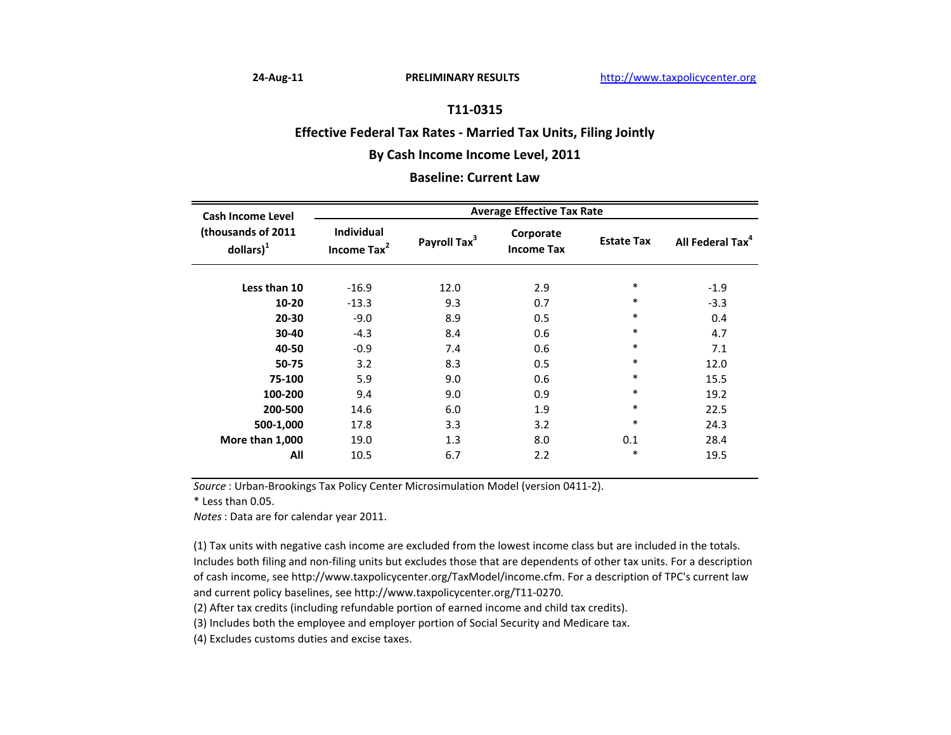### **Effective Federal Tax Rates ‐ Married Tax Units, Filing Jointly**

# **By Cash Income Income Level, 2011**

#### **Baseline: Current Law**

| <b>Cash Income Level</b><br>(thousands of 2011<br>$\text{dollars}$ <sup>1</sup> | <b>Average Effective Tax Rate</b>            |                          |                                |                   |                              |  |
|---------------------------------------------------------------------------------|----------------------------------------------|--------------------------|--------------------------------|-------------------|------------------------------|--|
|                                                                                 | <b>Individual</b><br>Income Tax <sup>2</sup> | Payroll Tax <sup>3</sup> | Corporate<br><b>Income Tax</b> | <b>Estate Tax</b> | All Federal Tax <sup>4</sup> |  |
| Less than 10                                                                    | $-16.9$                                      | 12.0                     | 2.9                            | $\ast$            | $-1.9$                       |  |
| 10-20                                                                           | $-13.3$                                      | 9.3                      | 0.7                            | $\ast$            | $-3.3$                       |  |
| $20 - 30$                                                                       | $-9.0$                                       | 8.9                      | 0.5                            | $\ast$            | 0.4                          |  |
| 30-40                                                                           | $-4.3$                                       | 8.4                      | 0.6                            | $\ast$            | 4.7                          |  |
| 40-50                                                                           | $-0.9$                                       | 7.4                      | 0.6                            | $\ast$            | 7.1                          |  |
| 50-75                                                                           | 3.2                                          | 8.3                      | 0.5                            | $\ast$            | 12.0                         |  |
| 75-100                                                                          | 5.9                                          | 9.0                      | 0.6                            | $\ast$            | 15.5                         |  |
| 100-200                                                                         | 9.4                                          | 9.0                      | 0.9                            | $\ast$            | 19.2                         |  |
| 200-500                                                                         | 14.6                                         | 6.0                      | 1.9                            | $\ast$            | 22.5                         |  |
| 500-1,000                                                                       | 17.8                                         | 3.3                      | 3.2                            | $\ast$            | 24.3                         |  |
| More than 1,000                                                                 | 19.0                                         | 1.3                      | 8.0                            | 0.1               | 28.4                         |  |
| All                                                                             | 10.5                                         | 6.7                      | 2.2                            | $\ast$            | 19.5                         |  |

*Source* : Urban‐Brookings Tax Policy Center Microsimulation Model (version 0411‐2).

\* Less than 0.05.

*Notes*: Data are for calendar year 2011.

(1) Tax units with negative cash income are excluded from the lowest income class but are included in the totals. Includes both filing and non‐filing units but excludes those that are dependents of other tax units. For <sup>a</sup> description of cash income, see http://www.taxpolicycenter.org/TaxModel/income.cfm. For <sup>a</sup> description of TPC's current law and current policy baselines, see http://www.taxpolicycenter.org/T11‐0270.

(2) After tax credits (including refundable portion of earned income and child tax credits).

(3) Includes both the employee and employer portion of Social Security and Medicare tax.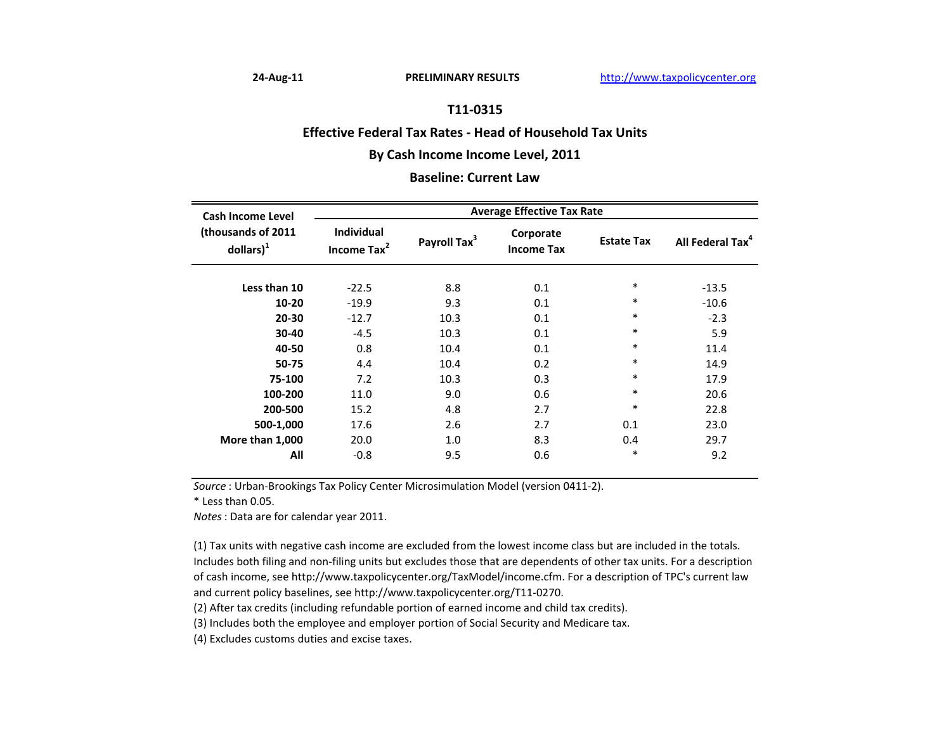#### **Effective Federal Tax Rates ‐ Head of Household Tax Units**

# **By Cash Income Income Level, 2011**

### **Baseline: Current Law**

| <b>Cash Income Level</b><br>(thousands of 2011<br>$\text{dollars}$ <sup>1</sup> | <b>Average Effective Tax Rate</b>            |                          |                                |                   |                              |  |
|---------------------------------------------------------------------------------|----------------------------------------------|--------------------------|--------------------------------|-------------------|------------------------------|--|
|                                                                                 | <b>Individual</b><br>Income Tax <sup>2</sup> | Payroll Tax <sup>3</sup> | Corporate<br><b>Income Tax</b> | <b>Estate Tax</b> | All Federal Tax <sup>4</sup> |  |
| Less than 10                                                                    | $-22.5$                                      | 8.8                      | 0.1                            | $\ast$            | $-13.5$                      |  |
| 10-20                                                                           | $-19.9$                                      | 9.3                      | 0.1                            | $\ast$            | $-10.6$                      |  |
| $20 - 30$                                                                       | $-12.7$                                      | 10.3                     | 0.1                            | $\ast$            | $-2.3$                       |  |
| 30-40                                                                           | $-4.5$                                       | 10.3                     | 0.1                            | $\ast$            | 5.9                          |  |
| 40-50                                                                           | 0.8                                          | 10.4                     | 0.1                            | $\ast$            | 11.4                         |  |
| 50-75                                                                           | 4.4                                          | 10.4                     | 0.2                            | $\ast$            | 14.9                         |  |
| 75-100                                                                          | 7.2                                          | 10.3                     | 0.3                            | $\ast$            | 17.9                         |  |
| 100-200                                                                         | 11.0                                         | 9.0                      | 0.6                            | $\ast$            | 20.6                         |  |
| 200-500                                                                         | 15.2                                         | 4.8                      | 2.7                            | $\ast$            | 22.8                         |  |
| 500-1,000                                                                       | 17.6                                         | 2.6                      | 2.7                            | 0.1               | 23.0                         |  |
| More than 1,000                                                                 | 20.0                                         | 1.0                      | 8.3                            | 0.4               | 29.7                         |  |
| All                                                                             | $-0.8$                                       | 9.5                      | 0.6                            | $\ast$            | 9.2                          |  |

*Source* : Urban‐Brookings Tax Policy Center Microsimulation Model (version 0411‐2).

\* Less than 0.05.

*Notes*: Data are for calendar year 2011.

(1) Tax units with negative cash income are excluded from the lowest income class but are included in the totals. Includes both filing and non‐filing units but excludes those that are dependents of other tax units. For <sup>a</sup> description of cash income, see http://www.taxpolicycenter.org/TaxModel/income.cfm. For <sup>a</sup> description of TPC's current law and current policy baselines, see http://www.taxpolicycenter.org/T11‐0270.

(2) After tax credits (including refundable portion of earned income and child tax credits).

(3) Includes both the employee and employer portion of Social Security and Medicare tax.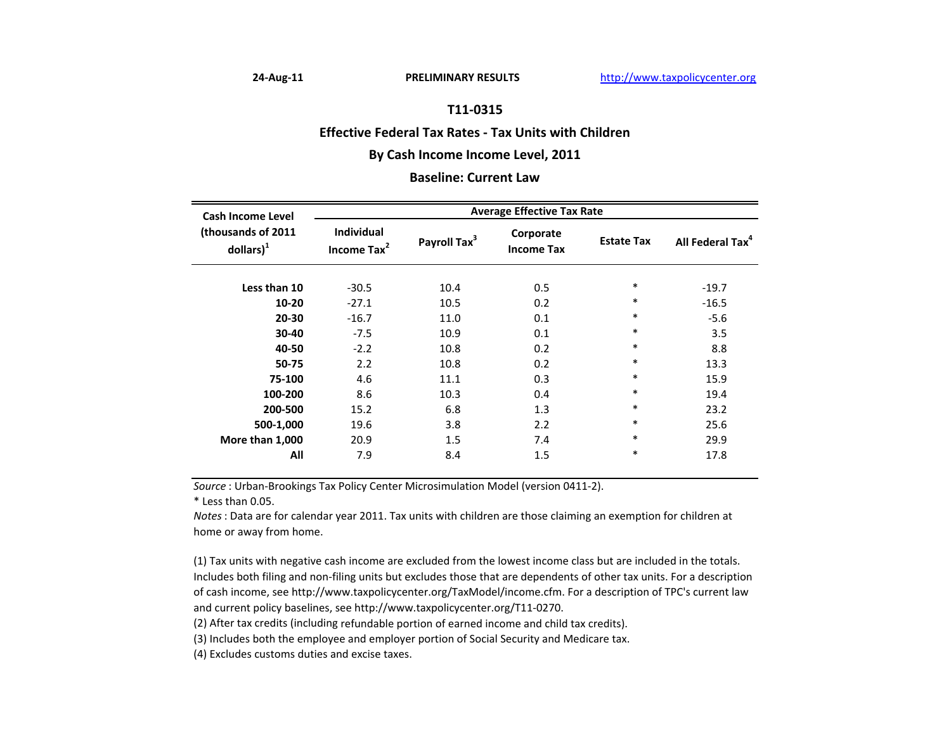#### **Effective Federal Tax Rates ‐ Tax Units with Children**

# **By Cash Income Income Level, 2011**

#### **Baseline: Current Law**

| <b>Cash Income Level</b><br>(thousands of 2011<br>$d$ ollars) $1$ | <b>Average Effective Tax Rate</b>            |                          |                                |                   |                              |  |
|-------------------------------------------------------------------|----------------------------------------------|--------------------------|--------------------------------|-------------------|------------------------------|--|
|                                                                   | <b>Individual</b><br>Income Tax <sup>2</sup> | Payroll Tax <sup>3</sup> | Corporate<br><b>Income Tax</b> | <b>Estate Tax</b> | All Federal Tax <sup>4</sup> |  |
| Less than 10                                                      | $-30.5$                                      | 10.4                     | 0.5                            | $\ast$            | $-19.7$                      |  |
| $10 - 20$                                                         | $-27.1$                                      | 10.5                     | 0.2                            | $\ast$            | $-16.5$                      |  |
| 20-30                                                             | $-16.7$                                      | 11.0                     | 0.1                            | $\ast$            | $-5.6$                       |  |
| 30-40                                                             | $-7.5$                                       | 10.9                     | 0.1                            | $\ast$            | 3.5                          |  |
| 40-50                                                             | $-2.2$                                       | 10.8                     | 0.2                            | $\ast$            | 8.8                          |  |
| 50-75                                                             | 2.2                                          | 10.8                     | 0.2                            | $\ast$            | 13.3                         |  |
| 75-100                                                            | 4.6                                          | 11.1                     | 0.3                            | $\ast$            | 15.9                         |  |
| 100-200                                                           | 8.6                                          | 10.3                     | 0.4                            | $\ast$            | 19.4                         |  |
| 200-500                                                           | 15.2                                         | 6.8                      | 1.3                            | $\ast$            | 23.2                         |  |
| 500-1,000                                                         | 19.6                                         | 3.8                      | 2.2                            | $\ast$            | 25.6                         |  |
| More than 1,000                                                   | 20.9                                         | 1.5                      | 7.4                            | $\ast$            | 29.9                         |  |
| All                                                               | 7.9                                          | 8.4                      | 1.5                            | $\ast$            | 17.8                         |  |

*Source* : Urban‐Brookings Tax Policy Center Microsimulation Model (version 0411‐2).

\* Less than 0.05.

*Notes*: Data are for calendar year 2011. Tax units with children are those claiming an exemption for children at home or away from home.

(1) Tax units with negative cash income are excluded from the lowest income class but are included in the totals. Includes both filing and non‐filing units but excludes those that are dependents of other tax units. For <sup>a</sup> description of cash income, see http://www.taxpolicycenter.org/TaxModel/income.cfm. For <sup>a</sup> description of TPC's current law and current policy baselines, see http://www.taxpolicycenter.org/T11‐0270.

(2) After tax credits (including refundable portion of earned income and child tax credits).

(3) Includes both the employee and employer portion of Social Security and Medicare tax.